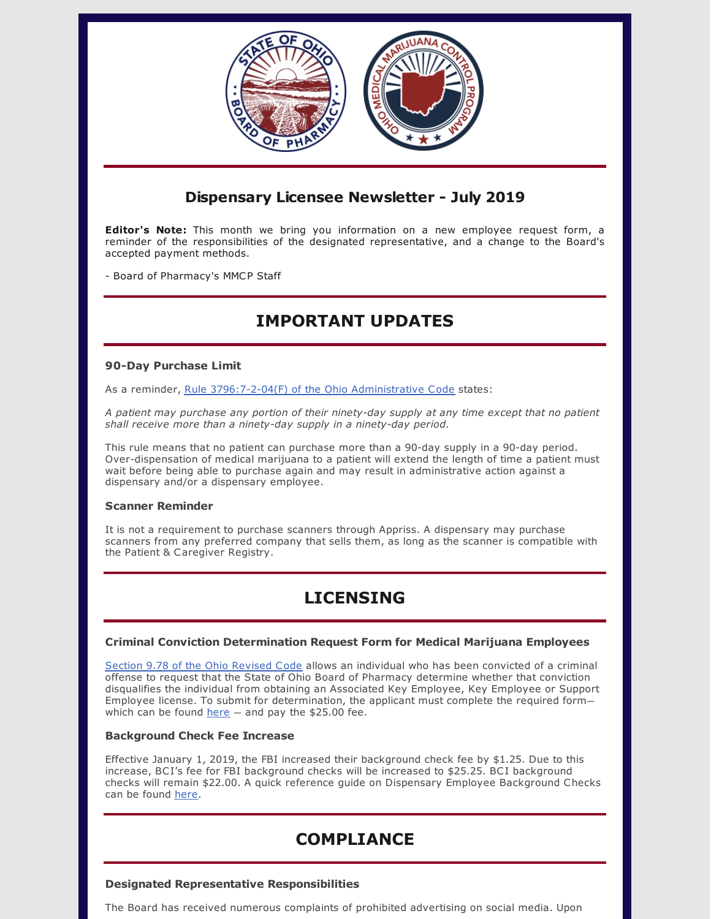

### **Dispensary Licensee Newsletter - July 2019**

**Editor's Note:** This month we bring you information on a new employee request form, a reminder of the responsibilities of the designated representative, and a change to the Board's accepted payment methods.

- Board of Pharmacy's MMCP Staff

# **IMPORTANT UPDATES**

#### **90-Day Purchase Limit**

As a reminder, Rule [3796:7-2-04\(F\)](http://codes.ohio.gov/oac/3796:7-2-04) of the Ohio Administrative Code states:

*A patient may purchase any portion of their ninety-day supply at any time except that no patient shall receive more than a ninety-day supply in a ninety-day period.*

This rule means that no patient can purchase more than a 90-day supply in a 90-day period. Over-dispensation of medical marijuana to a patient will extend the length of time a patient must wait before being able to purchase again and may result in administrative action against a dispensary and/or a dispensary employee.

### **Scanner Reminder**

It is not a requirement to purchase scanners through Appriss. A dispensary may purchase scanners from any preferred company that sells them, as long as the scanner is compatible with the Patient & Caregiver Registry.

# **LICENSING**

### **Criminal Conviction Determination Request Form for Medical Marijuana Employees**

Section 9.78 of the Ohio [Revised](http://codes.ohio.gov/orc/gp9.78v1) Code allows an individual who has been convicted of a criminal offense to request that the State of Ohio Board of Pharmacy determine whether that conviction disqualifies the individual from obtaining an Associated Key Employee, Key Employee or Support Employee license. To submit for determination, the applicant must complete the required form which can be found  $here$  – and pay the \$25.00 fee.

#### **Background Check Fee Increase**

Effective January 1, 2019, the FBI increased their background check fee by \$1.25. Due to this increase, BCI's fee for FBI background checks will be increased to \$25.25. BCI background checks will remain \$22.00. A quick reference guide on Dispensary Employee Background Checks can be found [here](https://gcc01.safelinks.protection.outlook.com/?url=https%3A%2F%2Fmedicalmarijuana.ohio.gov%2FDocuments%2FLicenseeResources%2FDispensary%2520Licensee%2520Resources%2FDISPENSARY%2520EMPLOYEE%2520LICENSING%2FEmployee%2520Background%2520Check%2520Guidance.pdf&data=02%7C01%7Cgrant.miller%40pharmacy.ohio.gov%7C0a83a738b5bf4b48e91c08d7094438ac%7C50f8fcc494d84f0784eb36ed57c7c8a2%7C0%7C1%7C636988060933122603&sdata=dsuBqHA04cr4r9msYw2N0QnDfHgD%2Fxp9l5t99oQwKPE%3D&reserved=0).

## **COMPLIANCE**

### **Designated Representative Responsibilities**

The Board has received numerous complaints of prohibited advertising on social media. Upon